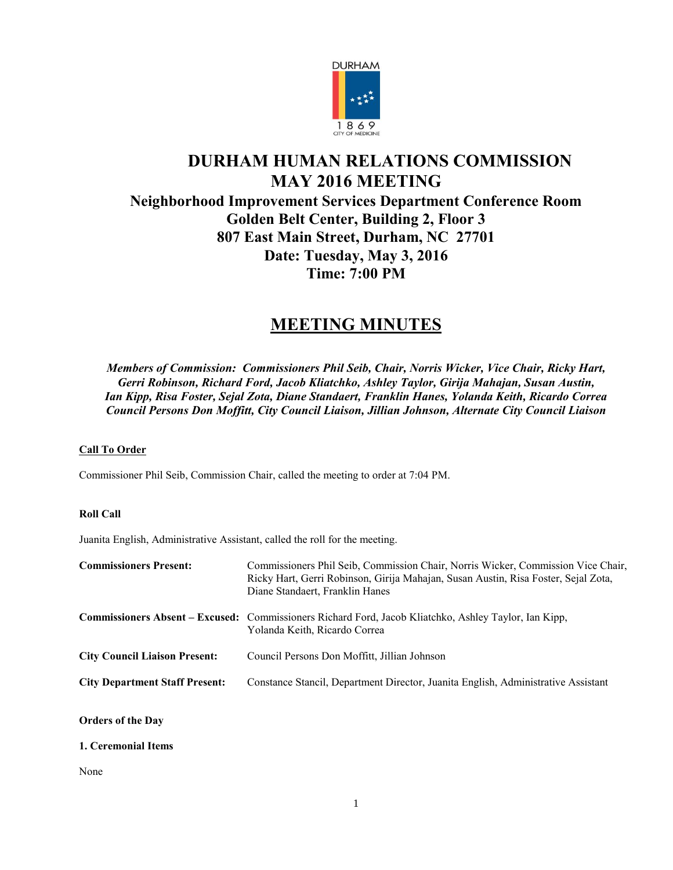

# **DURHAM HUMAN RELATIONS COMMISSION MAY 2016 MEETING Neighborhood Improvement Services Department Conference Room Golden Belt Center, Building 2, Floor 3 807 East Main Street, Durham, NC 27701 Date: Tuesday, May 3, 2016 Time: 7:00 PM**

# **MEETING MINUTES**

*Members of Commission: Commissioners Phil Seib, Chair, Norris Wicker, Vice Chair, Ricky Hart, Gerri Robinson, Richard Ford, Jacob Kliatchko, Ashley Taylor, Girija Mahajan, Susan Austin, Ian Kipp, Risa Foster, Sejal Zota, Diane Standaert, Franklin Hanes, Yolanda Keith, Ricardo Correa Council Persons Don Moffitt, City Council Liaison, Jillian Johnson, Alternate City Council Liaison*

# **Call To Order**

Commissioner Phil Seib, Commission Chair, called the meeting to order at 7:04 PM.

# **Roll Call**

Juanita English, Administrative Assistant, called the roll for the meeting.

| <b>Commissioners Present:</b>         | Commissioners Phil Seib, Commission Chair, Norris Wicker, Commission Vice Chair,<br>Ricky Hart, Gerri Robinson, Girija Mahajan, Susan Austin, Risa Foster, Sejal Zota,<br>Diane Standaert, Franklin Hanes |
|---------------------------------------|-----------------------------------------------------------------------------------------------------------------------------------------------------------------------------------------------------------|
|                                       | <b>Commissioners Absent – Excused:</b> Commissioners Richard Ford, Jacob Kliatchko, Ashley Taylor, Ian Kipp,<br>Yolanda Keith, Ricardo Correa                                                             |
| <b>City Council Liaison Present:</b>  | Council Persons Don Moffitt, Jillian Johnson                                                                                                                                                              |
| <b>City Department Staff Present:</b> | Constance Stancil, Department Director, Juanita English, Administrative Assistant                                                                                                                         |
| <b>Orders of the Day</b>              |                                                                                                                                                                                                           |

## **1. Ceremonial Items**

None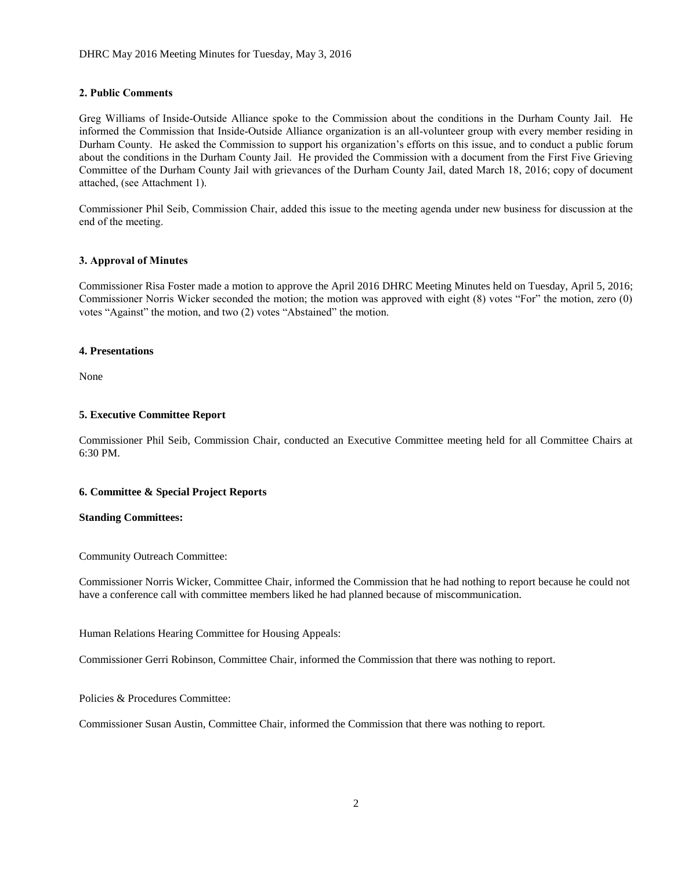## **2. Public Comments**

Greg Williams of Inside-Outside Alliance spoke to the Commission about the conditions in the Durham County Jail. He informed the Commission that Inside-Outside Alliance organization is an all-volunteer group with every member residing in Durham County. He asked the Commission to support his organization's efforts on this issue, and to conduct a public forum about the conditions in the Durham County Jail. He provided the Commission with a document from the First Five Grieving Committee of the Durham County Jail with grievances of the Durham County Jail, dated March 18, 2016; copy of document attached, (see Attachment 1).

Commissioner Phil Seib, Commission Chair, added this issue to the meeting agenda under new business for discussion at the end of the meeting.

## **3. Approval of Minutes**

Commissioner Risa Foster made a motion to approve the April 2016 DHRC Meeting Minutes held on Tuesday, April 5, 2016; Commissioner Norris Wicker seconded the motion; the motion was approved with eight (8) votes "For" the motion, zero (0) votes "Against" the motion, and two (2) votes "Abstained" the motion.

#### **4. Presentations**

None

## **5. Executive Committee Report**

Commissioner Phil Seib, Commission Chair, conducted an Executive Committee meeting held for all Committee Chairs at 6:30 PM.

#### **6. Committee & Special Project Reports**

#### **Standing Committees:**

Community Outreach Committee:

Commissioner Norris Wicker, Committee Chair, informed the Commission that he had nothing to report because he could not have a conference call with committee members liked he had planned because of miscommunication.

Human Relations Hearing Committee for Housing Appeals:

Commissioner Gerri Robinson, Committee Chair, informed the Commission that there was nothing to report.

Policies & Procedures Committee:

Commissioner Susan Austin, Committee Chair, informed the Commission that there was nothing to report.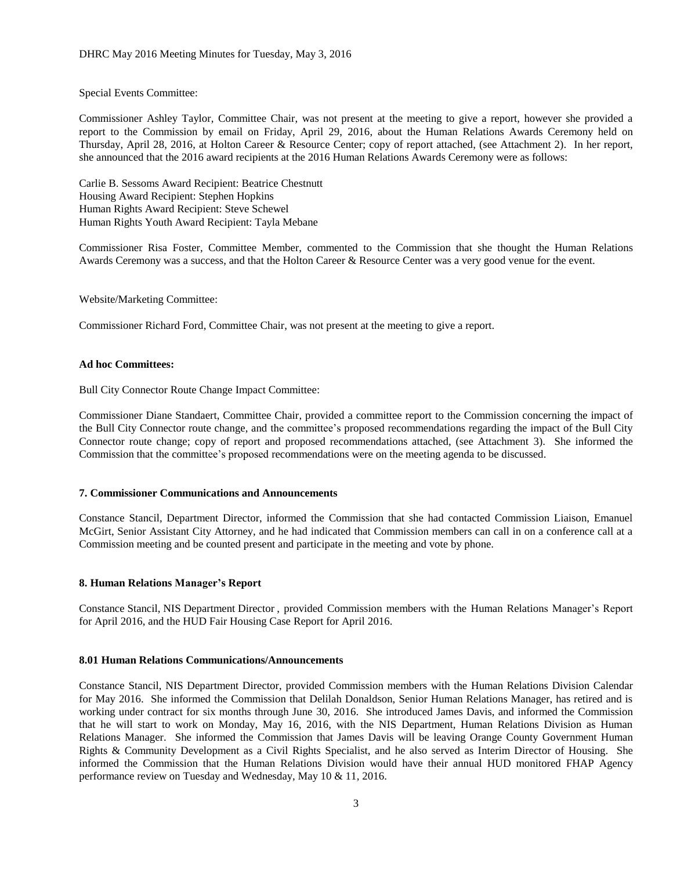Special Events Committee:

Commissioner Ashley Taylor, Committee Chair, was not present at the meeting to give a report, however she provided a report to the Commission by email on Friday, April 29, 2016, about the Human Relations Awards Ceremony held on Thursday, April 28, 2016, at Holton Career & Resource Center; copy of report attached, (see Attachment 2). In her report, she announced that the 2016 award recipients at the 2016 Human Relations Awards Ceremony were as follows:

Carlie B. Sessoms Award Recipient: Beatrice Chestnutt Housing Award Recipient: Stephen Hopkins Human Rights Award Recipient: Steve Schewel Human Rights Youth Award Recipient: Tayla Mebane

Commissioner Risa Foster, Committee Member, commented to the Commission that she thought the Human Relations Awards Ceremony was a success, and that the Holton Career & Resource Center was a very good venue for the event.

Website/Marketing Committee:

Commissioner Richard Ford, Committee Chair, was not present at the meeting to give a report.

### **Ad hoc Committees:**

Bull City Connector Route Change Impact Committee:

Commissioner Diane Standaert, Committee Chair, provided a committee report to the Commission concerning the impact of the Bull City Connector route change, and the committee's proposed recommendations regarding the impact of the Bull City Connector route change; copy of report and proposed recommendations attached, (see Attachment 3). She informed the Commission that the committee's proposed recommendations were on the meeting agenda to be discussed.

#### **7. Commissioner Communications and Announcements**

Constance Stancil, Department Director, informed the Commission that she had contacted Commission Liaison, Emanuel McGirt, Senior Assistant City Attorney, and he had indicated that Commission members can call in on a conference call at a Commission meeting and be counted present and participate in the meeting and vote by phone.

#### **8. Human Relations Manager's Report**

Constance Stancil, NIS Department Director , provided Commission members with the Human Relations Manager's Report for April 2016, and the HUD Fair Housing Case Report for April 2016.

#### **8.01 Human Relations Communications/Announcements**

Constance Stancil, NIS Department Director, provided Commission members with the Human Relations Division Calendar for May 2016. She informed the Commission that Delilah Donaldson, Senior Human Relations Manager, has retired and is working under contract for six months through June 30, 2016. She introduced James Davis, and informed the Commission that he will start to work on Monday, May 16, 2016, with the NIS Department, Human Relations Division as Human Relations Manager. She informed the Commission that James Davis will be leaving Orange County Government Human Rights & Community Development as a Civil Rights Specialist, and he also served as Interim Director of Housing. She informed the Commission that the Human Relations Division would have their annual HUD monitored FHAP Agency performance review on Tuesday and Wednesday, May 10 & 11, 2016.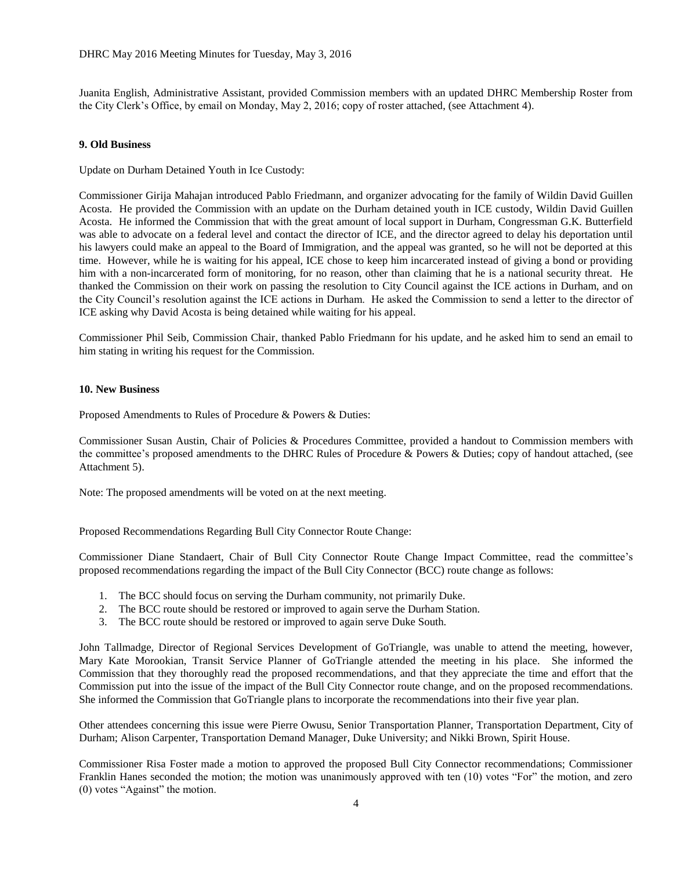Juanita English, Administrative Assistant, provided Commission members with an updated DHRC Membership Roster from the City Clerk's Office, by email on Monday, May 2, 2016; copy of roster attached, (see Attachment 4).

#### **9. Old Business**

Update on Durham Detained Youth in Ice Custody:

Commissioner Girija Mahajan introduced Pablo Friedmann, and organizer advocating for the family of Wildin David Guillen Acosta. He provided the Commission with an update on the Durham detained youth in ICE custody, Wildin David Guillen Acosta. He informed the Commission that with the great amount of local support in Durham, Congressman G.K. Butterfield was able to advocate on a federal level and contact the director of ICE, and the director agreed to delay his deportation until his lawyers could make an appeal to the Board of Immigration, and the appeal was granted, so he will not be deported at this time. However, while he is waiting for his appeal, ICE chose to keep him incarcerated instead of giving a bond or providing him with a non-incarcerated form of monitoring, for no reason, other than claiming that he is a national security threat. He thanked the Commission on their work on passing the resolution to City Council against the ICE actions in Durham, and on the City Council's resolution against the ICE actions in Durham. He asked the Commission to send a letter to the director of ICE asking why David Acosta is being detained while waiting for his appeal.

Commissioner Phil Seib, Commission Chair, thanked Pablo Friedmann for his update, and he asked him to send an email to him stating in writing his request for the Commission.

#### **10. New Business**

Proposed Amendments to Rules of Procedure & Powers & Duties:

Commissioner Susan Austin, Chair of Policies & Procedures Committee, provided a handout to Commission members with the committee's proposed amendments to the DHRC Rules of Procedure & Powers & Duties; copy of handout attached, (see Attachment 5).

Note: The proposed amendments will be voted on at the next meeting.

Proposed Recommendations Regarding Bull City Connector Route Change:

Commissioner Diane Standaert, Chair of Bull City Connector Route Change Impact Committee, read the committee's proposed recommendations regarding the impact of the Bull City Connector (BCC) route change as follows:

- 1. The BCC should focus on serving the Durham community, not primarily Duke.
- 2. The BCC route should be restored or improved to again serve the Durham Station.
- 3. The BCC route should be restored or improved to again serve Duke South.

John Tallmadge, Director of Regional Services Development of GoTriangle, was unable to attend the meeting, however, Mary Kate Morookian, Transit Service Planner of GoTriangle attended the meeting in his place. She informed the Commission that they thoroughly read the proposed recommendations, and that they appreciate the time and effort that the Commission put into the issue of the impact of the Bull City Connector route change, and on the proposed recommendations. She informed the Commission that GoTriangle plans to incorporate the recommendations into their five year plan.

Other attendees concerning this issue were Pierre Owusu, Senior Transportation Planner, Transportation Department, City of Durham; Alison Carpenter, Transportation Demand Manager, Duke University; and Nikki Brown, Spirit House.

Commissioner Risa Foster made a motion to approved the proposed Bull City Connector recommendations; Commissioner Franklin Hanes seconded the motion; the motion was unanimously approved with ten (10) votes "For" the motion, and zero (0) votes "Against" the motion.